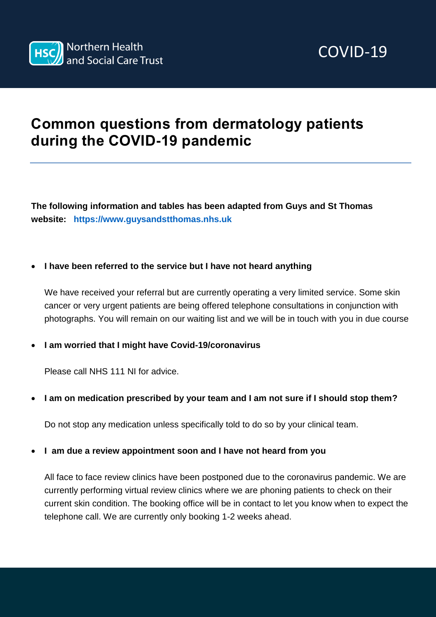

# **Common questions from dermatology patients during the COVID-19 pandemic**

**The following information and tables has been adapted from Guys and St Thomas website: [https://www.guysandstthomas.nhs.uk](https://www.guysandstthomas.nhs.uk/our-services/dermatology/dermatology-and-coronavirus-frequently-asked-questions.aspx#na)**

#### **I have been referred to the service but I have not heard anything**

We have received your referral but are currently operating a very limited service. Some skin cancer or very urgent patients are being offered telephone consultations in conjunction with photographs. You will remain on our waiting list and we will be in touch with you in due course

#### **I am worried that I might have Covid-19/coronavirus**

Please call NHS 111 NI for advice.

#### **I am on medication prescribed by your team and I am not sure if I should stop them?**

Do not stop any medication unless specifically told to do so by your clinical team.

#### **I am due a review appointment soon and I have not heard from you**

All face to face review clinics have been postponed due to the coronavirus pandemic. We are currently performing virtual review clinics where we are phoning patients to check on their current skin condition. The booking office will be in contact to let you know when to expect the telephone call. We are currently only booking 1-2 weeks ahead.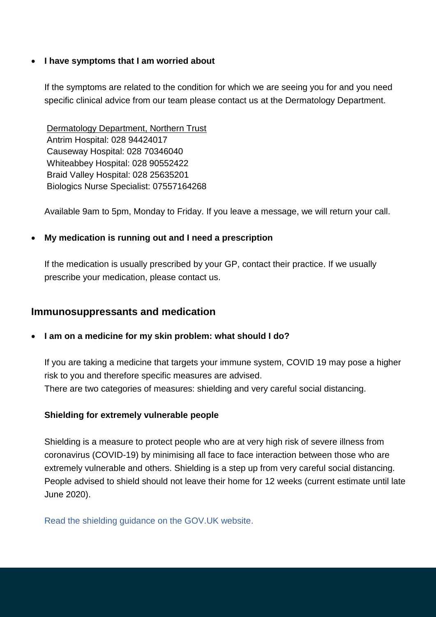#### **I have symptoms that I am worried about**

If the symptoms are related to the condition for which we are seeing you for and you need specific clinical advice from our team please contact us at the Dermatology Department.

Dermatology Department, Northern Trust Antrim Hospital: 028 94424017 Causeway Hospital: 028 70346040 Whiteabbey Hospital: 028 90552422 Braid Valley Hospital: 028 25635201 Biologics Nurse Specialist: 07557164268

Available 9am to 5pm, Monday to Friday. If you leave a message, we will return your call.

#### **My medication is running out and I need a prescription**

If the medication is usually prescribed by your GP, contact their practice. If we usually prescribe your medication, please contact us.

## **Immunosuppressants and medication**

#### **I am on a medicine for my skin problem: what should I do?**

If you are taking a medicine that targets your immune system, COVID 19 may pose a higher risk to you and therefore specific measures are advised. There are two categories of measures: shielding and very careful social distancing.

#### **Shielding for extremely vulnerable people**

Shielding is a measure to protect people who are at very high risk of severe illness from coronavirus (COVID-19) by minimising all face to face interaction between those who are extremely vulnerable and others. Shielding is a step up from very careful social distancing. People advised to shield should not leave their home for 12 weeks (current estimate until late June 2020).

[Read the shielding guidance on the GOV.UK website.](https://www.gov.uk/government/publications/guidance-on-shielding-and-protecting-extremely-vulnerable-persons-from-covid-19/guidance-on-shielding-and-protecting-extremely-vulnerable-persons-from-covid-19)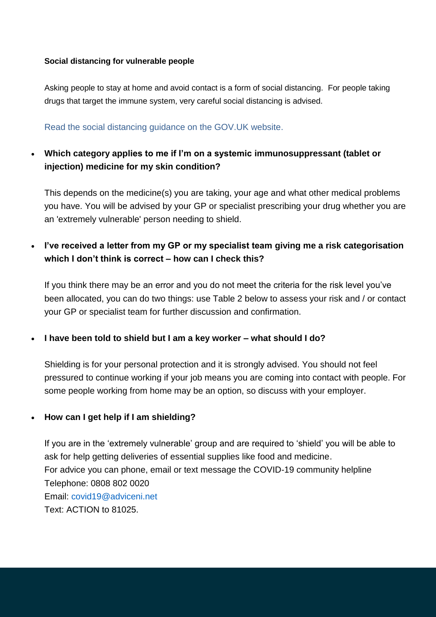#### **Social distancing for vulnerable people**

Asking people to stay at home and avoid contact is a form of social distancing. For people taking drugs that target the immune system, very careful social distancing is advised.

Read the social distancing [guidance on the GOV.UK website.](https://www.gov.uk/government/publications/covid-19-guidance-on-social-distancing-and-for-vulnerable-people/guidance-on-social-distancing-for-everyone-in-the-uk-and-protecting-older-people-and-vulnerable-adults)

# **Which category applies to me if I'm on a systemic immunosuppressant (tablet or injection) medicine for my skin condition?**

This depends on the medicine(s) you are taking, your age and what other medical problems you have. You will be advised by your GP or specialist prescribing your drug whether you are an 'extremely vulnerable' person needing to shield.

# **I've received a letter from my GP or my specialist team giving me a risk categorisation which I don't think is correct – how can I check this?**

If you think there may be an error and you do not meet the criteria for the risk level you've been allocated, you can do two things: use Table 2 below to assess your risk and / or contact your GP or specialist team for further discussion and confirmation.

#### **I have been told to shield but I am a key worker – what should I do?**

Shielding is for your personal protection and it is strongly advised. You should not feel pressured to continue working if your job means you are coming into contact with people. For some people working from home may be an option, so discuss with your employer.

#### **How can I get help if I am shielding?**

If you are in the 'extremely vulnerable' group and are required to 'shield' you will be able to ask for help getting deliveries of essential supplies like food and medicine. For advice you can phone, email or text message the COVID-19 community helpline Telephone: 0808 802 0020 Email: [covid19@adviceni.net](mailto:covid19@adviceni.net) Text: ACTION to 81025.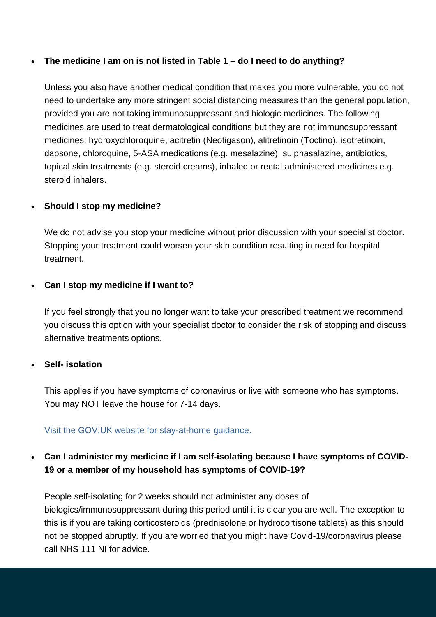#### **The medicine I am on is not listed in Table 1 – do I need to do anything?**

Unless you also have another medical condition that makes you more vulnerable, you do not need to undertake any more stringent social distancing measures than the general population, provided you are not taking immunosuppressant and biologic medicines. The following medicines are used to treat dermatological conditions but they are not immunosuppressant medicines: hydroxychloroquine, acitretin (Neotigason), alitretinoin (Toctino), isotretinoin, dapsone, chloroquine, 5-ASA medications (e.g. mesalazine), sulphasalazine, antibiotics, topical skin treatments (e.g. steroid creams), inhaled or rectal administered medicines e.g. steroid inhalers.

#### **Should I stop my medicine?**

We do not advise you stop your medicine without prior discussion with your specialist doctor. Stopping your treatment could worsen your skin condition resulting in need for hospital treatment.

#### **Can I stop my medicine if I want to?**

If you feel strongly that you no longer want to take your prescribed treatment we recommend you discuss this option with your specialist doctor to consider the risk of stopping and discuss alternative treatments options.

#### **Self- isolation**

This applies if you have symptoms of coronavirus or live with someone who has symptoms. You may NOT leave the house for 7-14 days.

#### [Visit the GOV.UK website for stay-at-home guidance.](https://www.gov.uk/government/publications/covid-19-stay-at-home-guidance/stay-at-home-guidance-for-households-with-possible-coronavirus-covid-19-infection)

# **Can I administer my medicine if I am self-isolating because I have symptoms of COVID-19 or a member of my household has symptoms of COVID-19?**

People self-isolating for 2 weeks should not administer any doses of biologics/immunosuppressant during this period until it is clear you are well. The exception to this is if you are taking corticosteroids (prednisolone or hydrocortisone tablets) as this should not be stopped abruptly. If you are worried that you might have Covid-19/coronavirus please call NHS 111 NI for advice.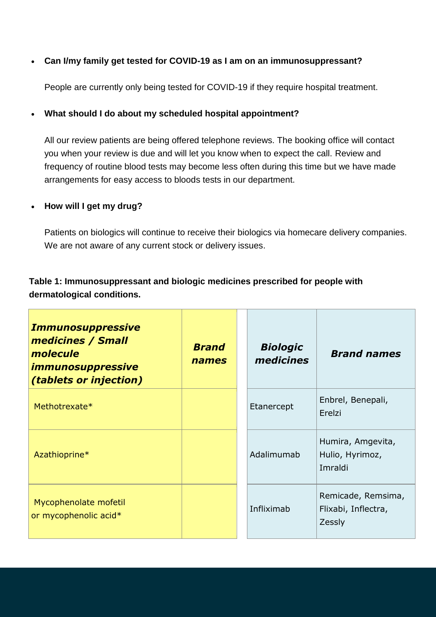#### **Can I/my family get tested for COVID-19 as I am on an immunosuppressant?**

People are currently only being tested for COVID-19 if they require hospital treatment.

#### **What should I do about my scheduled hospital appointment?**

All our review patients are being offered telephone reviews. The booking office will contact you when your review is due and will let you know when to expect the call. Review and frequency of routine blood tests may become less often during this time but we have made arrangements for easy access to bloods tests in our department.

#### **How will I get my drug?**

Patients on biologics will continue to receive their biologics via homecare delivery companies. We are not aware of any current stock or delivery issues.

# **Table 1: Immunosuppressant and biologic medicines prescribed for people with dermatological conditions.**

| <b>Immunosuppressive</b><br>medicines / Small<br>molecule<br><i><b>immunosuppressive</b></i><br><i>(tablets or injection)</i> | <b>Brand</b><br>names | <b>Biologic</b><br>medicines | <b>Brand names</b>                                  |
|-------------------------------------------------------------------------------------------------------------------------------|-----------------------|------------------------------|-----------------------------------------------------|
| Methotrexate*                                                                                                                 |                       | Etanercept                   | Enbrel, Benepali,<br>Erelzi                         |
| Azathioprine*                                                                                                                 |                       | Adalimumab                   | Humira, Amgevita,<br>Hulio, Hyrimoz,<br>Imraldi     |
| Mycophenolate mofetil<br>or mycophenolic acid*                                                                                |                       | Infliximab                   | Remicade, Remsima,<br>Flixabi, Inflectra,<br>Zessly |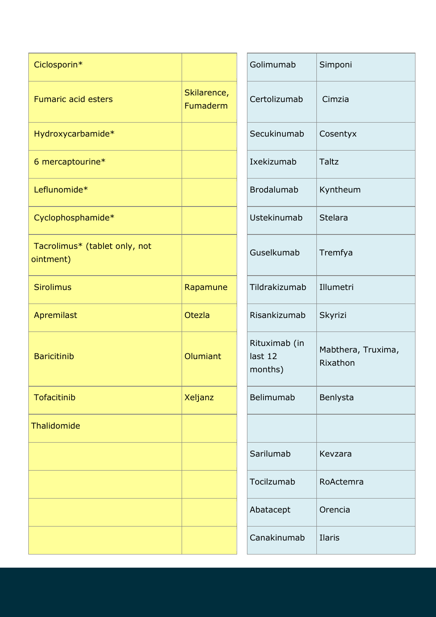| Ciclosporin*                               |                         | Golimumab                           | Simponi                        |
|--------------------------------------------|-------------------------|-------------------------------------|--------------------------------|
| <b>Fumaric acid esters</b>                 | Skilarence,<br>Fumaderm | Certolizumab                        | Cimzia                         |
| Hydroxycarbamide*                          |                         | Secukinumab                         | Cosentyx                       |
| 6 mercaptourine*                           |                         | Ixekizumab                          | <b>Taltz</b>                   |
| Leflunomide*                               |                         | <b>Brodalumab</b>                   | Kyntheum                       |
| Cyclophosphamide*                          |                         | <b>Ustekinumab</b>                  | <b>Stelara</b>                 |
| Tacrolimus* (tablet only, not<br>ointment) |                         | Guselkumab                          | Tremfya                        |
| <b>Sirolimus</b>                           | Rapamune                | Tildrakizumab                       | Illumetri                      |
| Apremilast                                 | <b>Otezla</b>           | Risankizumab                        | Skyrizi                        |
| <b>Baricitinib</b>                         | Olumiant                | Rituximab (in<br>last 12<br>months) | Mabthera, Truxima,<br>Rixathon |
| <b>Tofacitinib</b>                         | Xeljanz                 | Belimumab                           | Benlysta                       |
| Thalidomide                                |                         |                                     |                                |
|                                            |                         | Sarilumab                           | Kevzara                        |
|                                            |                         | Tocilzumab                          | RoActemra                      |
|                                            |                         | Abatacept                           | Orencia                        |
|                                            |                         | Canakinumab                         | Ilaris                         |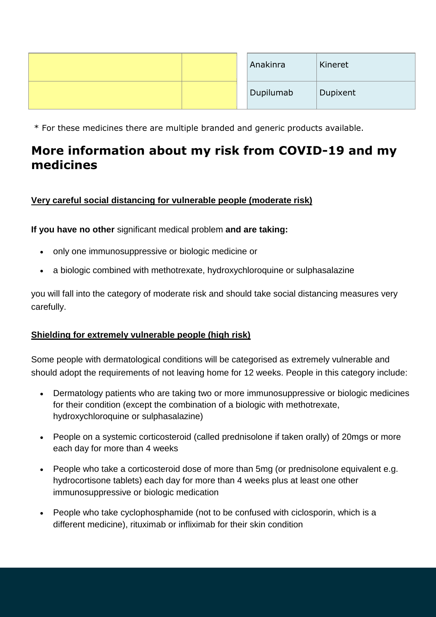|  | Anakinra  | Kineret  |
|--|-----------|----------|
|  | Dupilumab | Dupixent |

\* For these medicines there are multiple branded and generic products available.

# **More information about my risk from COVID-19 and my medicines**

## **Very careful social distancing for vulnerable people (moderate risk)**

**If you have no other** significant [medical problem](https://www.gov.uk/government/publications/covid-19-guidance-on-social-distancing-and-for-vulnerable-people/guidance-on-social-distancing-for-everyone-in-the-uk-and-protecting-older-people-and-vulnerable-adults) **and are taking:**

- only one immunosuppressive or biologic medicine or
- a biologic combined with methotrexate, hydroxychloroquine or sulphasalazine

you will fall into the category of moderate risk and should take social distancing measures very carefully.

#### **Shielding for extremely vulnerable people (high risk)**

Some people with dermatological conditions will be categorised as extremely vulnerable and should adopt the requirements of not leaving home for 12 weeks. People in this category include:

- Dermatology patients who are taking two or more immunosuppressive or biologic medicines for their condition (except the combination of a biologic with methotrexate, hydroxychloroquine or sulphasalazine)
- People on a systemic corticosteroid (called prednisolone if taken orally) of 20mgs or more each day for more than 4 weeks
- People who take a corticosteroid dose of more than 5mg (or prednisolone equivalent e.g. hydrocortisone tablets) each day for more than 4 weeks plus at least one other immunosuppressive or biologic medication
- People who take cyclophosphamide (not to be confused with ciclosporin, which is a different medicine), rituximab or infliximab for their skin condition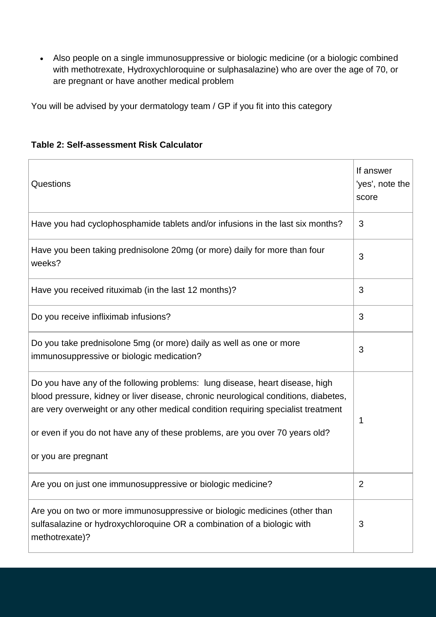Also people on a single immunosuppressive or biologic medicine (or a biologic combined with methotrexate, Hydroxychloroquine or sulphasalazine) who are over the age of 70, or are pregnant or have another medical problem

You will be advised by your dermatology team / GP if you fit into this category

| Table 2: Self-assessment Risk Calculator |  |  |
|------------------------------------------|--|--|
|------------------------------------------|--|--|

| Questions                                                                                                                                                                                                                                                                                                                                                       | If answer<br>'yes', note the<br>score |
|-----------------------------------------------------------------------------------------------------------------------------------------------------------------------------------------------------------------------------------------------------------------------------------------------------------------------------------------------------------------|---------------------------------------|
| Have you had cyclophosphamide tablets and/or infusions in the last six months?                                                                                                                                                                                                                                                                                  | 3                                     |
| Have you been taking prednisolone 20mg (or more) daily for more than four<br>weeks?                                                                                                                                                                                                                                                                             | 3                                     |
| Have you received rituximab (in the last 12 months)?                                                                                                                                                                                                                                                                                                            | 3                                     |
| Do you receive infliximab infusions?                                                                                                                                                                                                                                                                                                                            | 3                                     |
| Do you take prednisolone 5mg (or more) daily as well as one or more<br>immunosuppressive or biologic medication?                                                                                                                                                                                                                                                | 3                                     |
| Do you have any of the following problems: lung disease, heart disease, high<br>blood pressure, kidney or liver disease, chronic neurological conditions, diabetes,<br>are very overweight or any other medical condition requiring specialist treatment<br>or even if you do not have any of these problems, are you over 70 years old?<br>or you are pregnant | 1                                     |
| Are you on just one immunosuppressive or biologic medicine?                                                                                                                                                                                                                                                                                                     | $\overline{2}$                        |
| Are you on two or more immunosuppressive or biologic medicines (other than<br>sulfasalazine or hydroxychloroquine OR a combination of a biologic with<br>methotrexate)?                                                                                                                                                                                         | 3                                     |